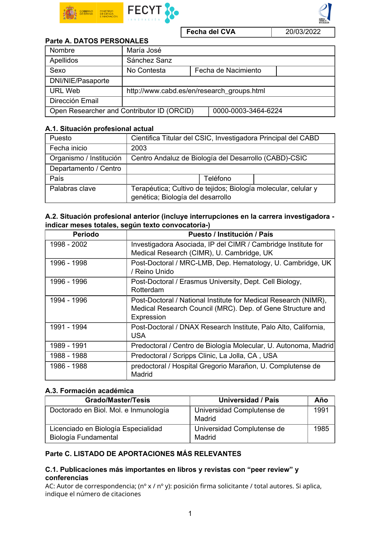

Fecha del CVA 20/03/2022

### Parte A. DATOS PERSONALES

| Nombre                                     | María José                                 |                     |                     |  |
|--------------------------------------------|--------------------------------------------|---------------------|---------------------|--|
| Apellidos                                  | Sánchez Sanz                               |                     |                     |  |
| Sexo                                       | No Contesta                                |                     | Fecha de Nacimiento |  |
| DNI/NIE/Pasaporte                          |                                            |                     |                     |  |
| URL Web                                    | http://www.cabd.es/en/research_groups.html |                     |                     |  |
| Dirección Email                            |                                            |                     |                     |  |
| Open Researcher and Contributor ID (ORCID) |                                            | 0000-0003-3464-6224 |                     |  |

### A.1. Situación profesional actual

| Puesto                  | Cientifica Titular del CSIC, Investigadora Principal del CABD                                       |  |  |  |
|-------------------------|-----------------------------------------------------------------------------------------------------|--|--|--|
| Fecha inicio            | 2003                                                                                                |  |  |  |
| Organismo / Institución | Centro Andaluz de Biología del Desarrollo (CABD)-CSIC                                               |  |  |  |
| Departamento / Centro   |                                                                                                     |  |  |  |
| País                    | Teléfono                                                                                            |  |  |  |
| Palabras clave          | Terapéutica; Cultivo de tejidos; Biología molecular, celular y<br>genética; Biología del desarrollo |  |  |  |

| A.2. Situación profesional anterior (incluye interrupciones en la carrera investigadora - |  |
|-------------------------------------------------------------------------------------------|--|
| indicar meses totales, según texto convocatoria-)                                         |  |

| <b>Periodo</b> | Puesto / Institución / País                                                                                                                 |
|----------------|---------------------------------------------------------------------------------------------------------------------------------------------|
| 1998 - 2002    | Investigadora Asociada, IP del CIMR / Cambridge Institute for<br>Medical Research (CIMR), U. Cambridge, UK                                  |
| 1996 - 1998    | Post-Doctoral / MRC-LMB, Dep. Hematology, U. Cambridge, UK<br>/ Reino Unido                                                                 |
| 1996 - 1996    | Post-Doctoral / Erasmus University, Dept. Cell Biology,<br>Rotterdam                                                                        |
| 1994 - 1996    | Post-Doctoral / National Institute for Medical Research (NIMR),<br>Medical Research Council (MRC). Dep. of Gene Structure and<br>Expression |
| 1991 - 1994    | Post-Doctoral / DNAX Research Institute, Palo Alto, California,<br>USA                                                                      |
| 1989 - 1991    | Predoctoral / Centro de Biología Molecular, U. Autonoma, Madrid                                                                             |
| 1988 - 1988    | Predoctoral / Scripps Clinic, La Jolla, CA, USA                                                                                             |
| 1986 - 1988    | predoctoral / Hospital Gregorio Marañon, U. Complutense de<br>Madrid                                                                        |

# A.3. Formación académica

| <b>Grado/Master/Tesis</b>                                   | Universidad / País                   | Año  |
|-------------------------------------------------------------|--------------------------------------|------|
| Doctorado en Biol. Mol. e Inmunología                       | Universidad Complutense de<br>Madrid | 1991 |
| Licenciado en Biología Especialidad<br>Biología Fundamental | Universidad Complutense de<br>Madrid | 1985 |

# Parte C. LISTADO DE APORTACIONES MÁS RELEVANTES

## C.1. Publicaciones más importantes en libros y revistas con "peer review" y conferencias

AC: Autor de correspondencia; (nº x / nº y): posición firma solicitante / total autores. Si aplica, indique el número de citaciones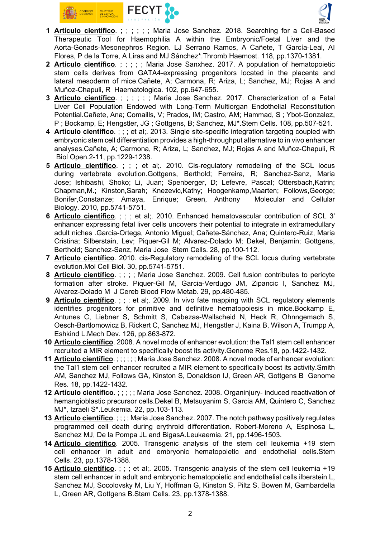



- 1 Artículo científico. ; ; ; ; ; Maria Jose Sanchez. 2018. Searching for a Cell-Based Therapeutic Tool for Haemophilia A within the Embryonic/Foetal Liver and the Aorta-Gonads-Mesonephros Region. LJ Serrano Ramos, A Cañete, T García-Leal, AI Flores, P de la Torre, A Liras and MJ Sánchez\*.Thromb Haemost. 118, pp.1370-1381.
- 2 Artículo científico. ; ; ; ; ; Maria Jose Sanxhez. 2017. A population of hematopoietic stem cells derives from GATA4-expressing progenitors located in the placenta and lateral mesoderm of mice.Cañete, A; Carmona, R; Ariza, L; Sanchez, MJ; Rojas A and Muñoz-Chapuli, R Haematologica. 102, pp.647-655.
- 3 Artículo científico. ; ; ; ; ; ; Maria Jose Sanchez. 2017. Characterization of a Fetal Liver Cell Population Endowed with Long‐Term Multiorgan Endothelial Reconstitution Potential.Cañete, Ana; Comaills, V; Prados, IM; Castro, AM; Hammad, S ; Ybot-Gonzalez, P ; Bockamp, E; Hengstler, JG ; Gottgens, B; Sanchez, MJ\*.Stem Cells. 108, pp.507-521.
- 4 Artículo científico. ; ; ; et al;. 2013. Single site-specific integration targeting coupled with embryonic stem cell differentiation provides a high-throughput alternative to in vivo enhancer analyses.Cañete, A; Carmona, R; Ariza, L; Sanchez, MJ; Rojas A and Muñoz-Chapuli, R Biol Open.2-11, pp.1229-1238.
- 5 Artículo científico. ; ; ; et al;. 2010. Cis-regulatory remodeling of the SCL locus during vertebrate evolution.Gottgens, Berthold; Ferreira, R; Sanchez-Sanz, Maria Jose; Ishibashi, Shoko; Li, Juan; Spenberger, D; Lefevre, Pascal; Ottersbach,Katrin; Chapman,M.; Kinston,Sarah; Knezevic,Kathy; Hoogenkamp,Maarten; Follows,George; Bonifer,Constanze; Amaya, Enrique; Green, Anthony Molecular and Cellular Biology. 2010, pp.5741-5751.
- 6 Artículo científico. ; ; ; et al;. 2010. Enhanced hematovascular contribution of SCL 3' enhancer expressing fetal liver cells uncovers their potential to integrate in extramedullary adult niches .Garcia-Ortega, Antonio Miguel; Cañete-Sánchez, Ana; Quintero-Ruiz, Maria Cristina; Silberstain, Lev; Piquer-Gil M; Alvarez-Dolado M; Dekel, Benjamin; Gottgens, Berthold; Sanchez-Sanz, Maria Jose Stem Cells. 28, pp.100-112.
- 7 Artículo científico. 2010. cis-Regulatory remodeling of the SCL locus during vertebrate evolution.Mol Cell Biol. 30, pp.5741-5751.
- 8 Artículo científico. ; ; ; ; Maria Jose Sanchez. 2009. Cell fusion contributes to pericyte formation after stroke. Piquer-Gil M, Garcia-Verdugo JM, Zipancic I, Sanchez MJ, Alvarez-Dolado M J Cereb Blood Flow Metab. 29, pp.480-485.
- 9 Artículo científico. ; ; ; et al;. 2009. In vivo fate mapping with SCL regulatory elements identifies progenitors for primitive and definitive hematopoiesis in mice.Bockamp E, Antunes C, Liebner S, Schmitt S, Cabezas-Wallscheid N, Heck R, Ohnngemach S, Oesch-Bartlomowicz B, Rickert C, Sanchez MJ, Hengstler J, Kaina B, Wilson A, Trumpp A, Eshkind L.Mech Dev. 126, pp.863-872.
- 10 Artículo científico. 2008. A novel mode of enhancer evolution: the Tal1 stem cell enhancer recruited a MIR element to specifically boost its activity.Genome Res.18, pp.1422-1432.
- 11 Artículo científico. ; ; ; ; ; ; Maria Jose Sanchez. 2008. A novel mode of enhancer evolution: the Tal1 stem cell enhancer recruited a MIR element to specifically boost its activity.Smith AM, Sanchez MJ, Follows GA, Kinston S, Donaldson IJ, Green AR, Gottgens B Genome Res. 18, pp.1422-1432.
- 12 Artículo científico.;;;;; Maria Jose Sanchez. 2008. Organinjury- induced reactivation of hemangioblastic precursor cells.Dekel B, Metsuyanim S, Garcia AM, Quintero C, Sanchez MJ\*, Izraeli S\*.Leukemia. 22, pp.103-113.
- 13 Artículo científico. ; ; ; ; Maria Jose Sanchez. 2007. The notch pathway positively regulates programmed cell death during erythroid differentiation. Robert-Moreno A, Espinosa L, Sanchez MJ, De la Pompa JL and BigasA.Leukaemia. 21, pp.1496-1503.
- 14 Artículo científico. 2005. Transgenic analysis of the stem cell leukemia +19 stem cell enhancer in adult and embryonic hematopoietic and endothelial cells.Stem Cells. 23, pp.1378-1388.
- 15 Artículo científico. ; ; ; et al;. 2005. Transgenic analysis of the stem cell leukemia +19 stem cell enhancer in adult and embryonic hematopoietic and endothelial cells.ilberstein L, Sanchez MJ, Socolovsky M, Liu Y, Hoffman G, Kinston S, Piltz S, Bowen M, Gambardella L, Green AR, Gottgens B.Stam Cells. 23, pp.1378-1388.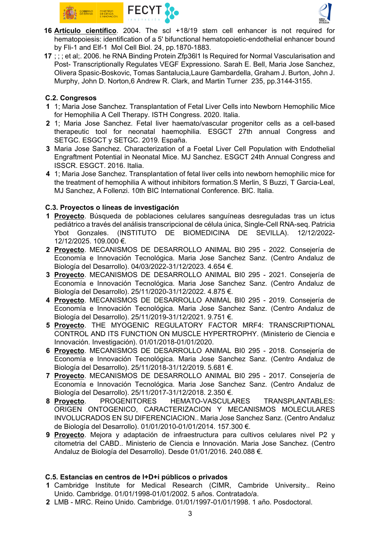



- 16 Artículo científico. 2004. The scl +18/19 stem cell enhancer is not required for hematopoiesis: identification of a 5' bifunctional hematopoietic-endothelial enhancer bound by Fli-1 and Elf-1 Mol Cell Biol. 24, pp.1870-1883.
- 17 ; ; ; et al;. 2006. he RNA Binding Protein Zfp36l1 Is Required for Normal Vascularisation and Post- Transcriptionally Regulates VEGF Expressiono. Sarah E. Bell, Maria Jose Sanchez, Olivera Spasic-Boskovic, Tomas Santalucia,Laure Gambardella, Graham J. Burton, John J. Murphy, John D. Norton,6 Andrew R. Clark, and Martin Turner 235, pp.3144-3155.

## C.2. Congresos

- 1 1; Maria Jose Sanchez. Transplantation of Fetal Liver Cells into Newborn Hemophilic Mice for Hemophilia A Cell Therapy. ISTH Congress. 2020. Italia.
- 2 1; Maria Jose Sanchez. Fetal liver haemato/vascular progenitor cells as a cell-based therapeutic tool for neonatal haemophilia. ESGCT 27th annual Congress and SETGC. ESGCT y SETGC. 2019. España.
- 3 Maria Jose Sanchez. Characterization of a Foetal Liver Cell Population with Endothelial Engraftment Potential in Neonatal Mice. MJ Sanchez. ESGCT 24th Annual Congress and ISSCR. ESGCT. 2016. Italia.
- 4 1; Maria Jose Sanchez. Transplantation of fetal liver cells into newborn hemophilic mice for the treatment of hemophilia A without inhibitors formation.S Merlin, S Buzzi, T Garcia-Leal, MJ Sanchez, A Follenzi. 10th BIC International Conference. BIC. Italia.

### C.3. Proyectos o líneas de investigación

- 1 Proyecto. Búsqueda de poblaciones celulares sanguíneas desreguladas tras un ictus pediátrico a través del análisis transcripcional de célula única, Single-Cell RNA-seq. Patricia Ybot Gonzales. (INSTITUTO DE BIOMEDICINA DE SEVILLA). 12/12/2022- 12/12/2025. 109.000 €.
- 2 Proyecto. MECANISMOS DE DESARROLLO ANIMAL BI0 295 2022. Consejería de Economía e Innovación Tecnológica. Maria Jose Sanchez Sanz. (Centro Andaluz de Biología del Desarrollo). 04/03/2022-31/12/2023. 4.654 €.
- 3 Proyecto. MECANISMOS DE DESARROLLO ANIMAL BI0 295 2021. Consejería de Economía e Innovación Tecnológica. Maria Jose Sanchez Sanz. (Centro Andaluz de Biología del Desarrollo). 25/11/2020-31/12/2022. 4.875 €.
- 4 Proyecto. MECANISMOS DE DESARROLLO ANIMAL BI0 295 2019. Consejería de Economía e Innovación Tecnológica. Maria Jose Sanchez Sanz. (Centro Andaluz de Biología del Desarrollo). 25/11/2019-31/12/2021. 9.751 €.
- 5 Proyecto. THE MYOGENIC REGULATORY FACTOR MRF4: TRANSCRIPTIONAL CONTROL AND ITS FUNCTION ON MUSCLE HYPERTROPHY. (Ministerio de Ciencia e Innovación. Investigación). 01/01/2018-01/01/2020.
- 6 Proyecto. MECANISMOS DE DESARROLLO ANIMAL BI0 295 2018. Consejería de Economía e Innovación Tecnológica. Maria Jose Sanchez Sanz. (Centro Andaluz de Biología del Desarrollo). 25/11/2018-31/12/2019. 5.681 €.
- 7 Proyecto. MECANISMOS DE DESARROLLO ANIMAL BI0 295 2017. Consejería de Economía e Innovación Tecnológica. Maria Jose Sanchez Sanz. (Centro Andaluz de Biología del Desarrollo). 25/11/2017-31/12/2018. 2.350 €.
- 8 Proyecto. PROGENITORES HEMATO-VASCULARES TRANSPLANTABLES: ORIGEN ONTOGENICO, CARACTERIZACION Y MECANISMOS MOLECULARES INVOLUCRADOS EN SU DIFERENCIACION.. Maria Jose Sanchez Sanz. (Centro Andaluz de Biología del Desarrollo). 01/01/2010-01/01/2014. 157.300 €.
- 9 Proyecto. Mejora y adaptación de infraestructura para cultivos celulares nivel P2 y citometria del CABD.. Ministerio de Ciencia e Innovación. Maria Jose Sanchez. (Centro Andaluz de Biología del Desarrollo). Desde 01/01/2016. 240.088 €.

#### C.5. Estancias en centros de I+D+i públicos o privados

- 1 Cambridge Institute for Medical Research (CIMR, Cambride University.. Reino Unido. Cambridge. 01/01/1998-01/01/2002. 5 años. Contratado/a.
- 2 LMB MRC. Reino Unido. Cambridge. 01/01/1997-01/01/1998. 1 año. Posdoctoral.